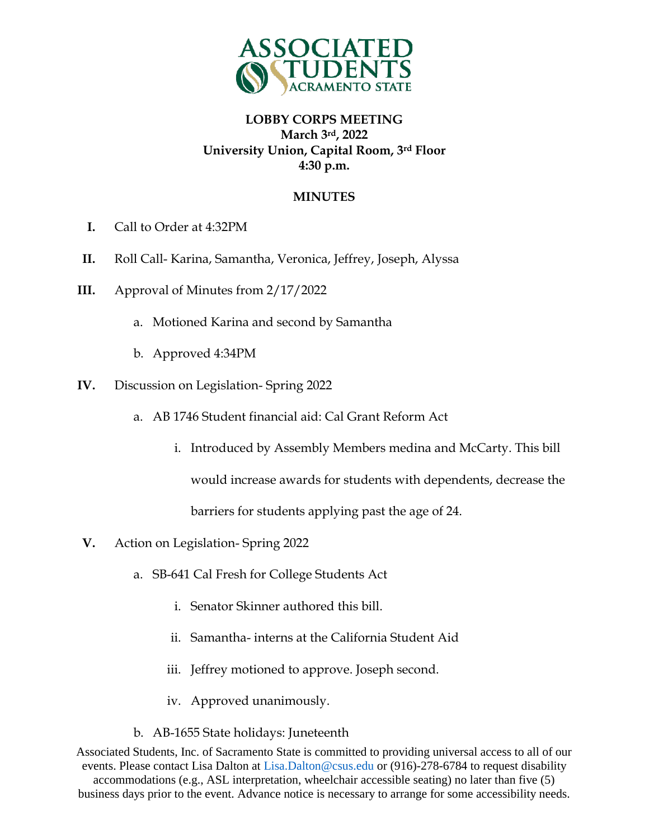

## **LOBBY CORPS MEETING March 3rd, 2022 University Union, Capital Room, 3rd Floor 4:30 p.m.**

### **MINUTES**

- **I.** Call to Order at 4:32PM
- **II.** Roll Call- Karina, Samantha, Veronica, Jeffrey, Joseph, Alyssa
- **III.** Approval of Minutes from 2/17/2022
	- a. Motioned Karina and second by Samantha
	- b. Approved 4:34PM
- **IV.** Discussion on Legislation- Spring 2022
	- a. AB 1746 Student financial aid: Cal Grant Reform Act
		- i. Introduced by Assembly Members medina and McCarty. This bill

would increase awards for students with dependents, decrease the

barriers for students applying past the age of 24.

- **V.** Action on Legislation- Spring 2022
	- a. SB-641 Cal Fresh for College Students Act
		- i. Senator Skinner authored this bill.
		- ii. Samantha- interns at the California Student Aid
		- iii. Jeffrey motioned to approve. Joseph second.
		- iv. Approved unanimously.
	- b. AB-1655 State holidays: Juneteenth

Associated Students, Inc. of Sacramento State is committed to providing universal access to all of our events. Please contact Lisa Dalton at Lisa.Dalton@csus.edu or (916)-278-6784 to request disability accommodations (e.g., ASL interpretation, wheelchair accessible seating) no later than five (5) business days prior to the event. Advance notice is necessary to arrange for some accessibility needs.